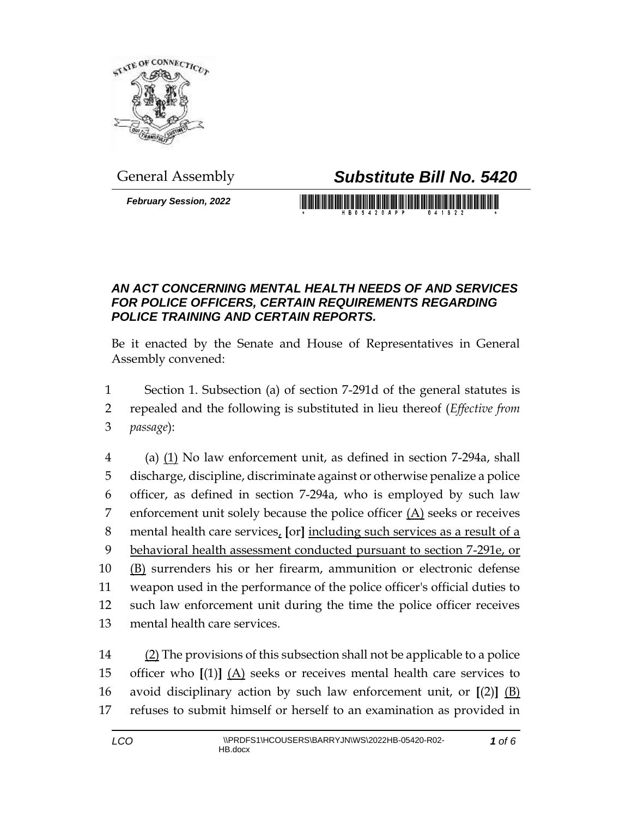

## General Assembly *Substitute Bill No. 5420*

*February Session, 2022*

## *AN ACT CONCERNING MENTAL HEALTH NEEDS OF AND SERVICES FOR POLICE OFFICERS, CERTAIN REQUIREMENTS REGARDING POLICE TRAINING AND CERTAIN REPORTS.*

Be it enacted by the Senate and House of Representatives in General Assembly convened:

1 Section 1. Subsection (a) of section 7-291d of the general statutes is

2 repealed and the following is substituted in lieu thereof (*Effective from*  3 *passage*):

4 (a)  $(1)$  No law enforcement unit, as defined in section 7-294a, shall discharge, discipline, discriminate against or otherwise penalize a police officer, as defined in section 7-294a, who is employed by such law 7 enforcement unit solely because the police officer  $(A)$  seeks or receives mental health care services, **[**or**]** including such services as a result of a behavioral health assessment conducted pursuant to section 7-291e, or (B) surrenders his or her firearm, ammunition or electronic defense weapon used in the performance of the police officer's official duties to such law enforcement unit during the time the police officer receives mental health care services.

 (2) The provisions of this subsection shall not be applicable to a police officer who **[**(1)**]** (A) seeks or receives mental health care services to avoid disciplinary action by such law enforcement unit, or **[**(2)**]** (B) refuses to submit himself or herself to an examination as provided in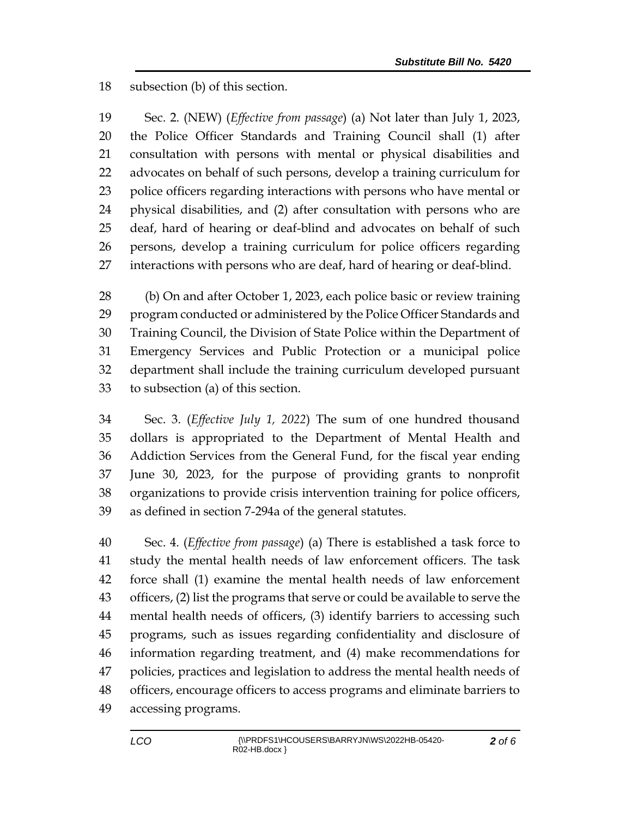subsection (b) of this section.

 Sec. 2. (NEW) (*Effective from passage*) (a) Not later than July 1, 2023, the Police Officer Standards and Training Council shall (1) after consultation with persons with mental or physical disabilities and advocates on behalf of such persons, develop a training curriculum for police officers regarding interactions with persons who have mental or physical disabilities, and (2) after consultation with persons who are deaf, hard of hearing or deaf-blind and advocates on behalf of such persons, develop a training curriculum for police officers regarding interactions with persons who are deaf, hard of hearing or deaf-blind.

 (b) On and after October 1, 2023, each police basic or review training program conducted or administered by the Police Officer Standards and Training Council, the Division of State Police within the Department of Emergency Services and Public Protection or a municipal police department shall include the training curriculum developed pursuant to subsection (a) of this section.

 Sec. 3. (*Effective July 1, 2022*) The sum of one hundred thousand dollars is appropriated to the Department of Mental Health and Addiction Services from the General Fund, for the fiscal year ending June 30, 2023, for the purpose of providing grants to nonprofit organizations to provide crisis intervention training for police officers, as defined in section 7-294a of the general statutes.

 Sec. 4. (*Effective from passage*) (a) There is established a task force to study the mental health needs of law enforcement officers. The task force shall (1) examine the mental health needs of law enforcement officers, (2) list the programs that serve or could be available to serve the mental health needs of officers, (3) identify barriers to accessing such programs, such as issues regarding confidentiality and disclosure of information regarding treatment, and (4) make recommendations for policies, practices and legislation to address the mental health needs of officers, encourage officers to access programs and eliminate barriers to accessing programs.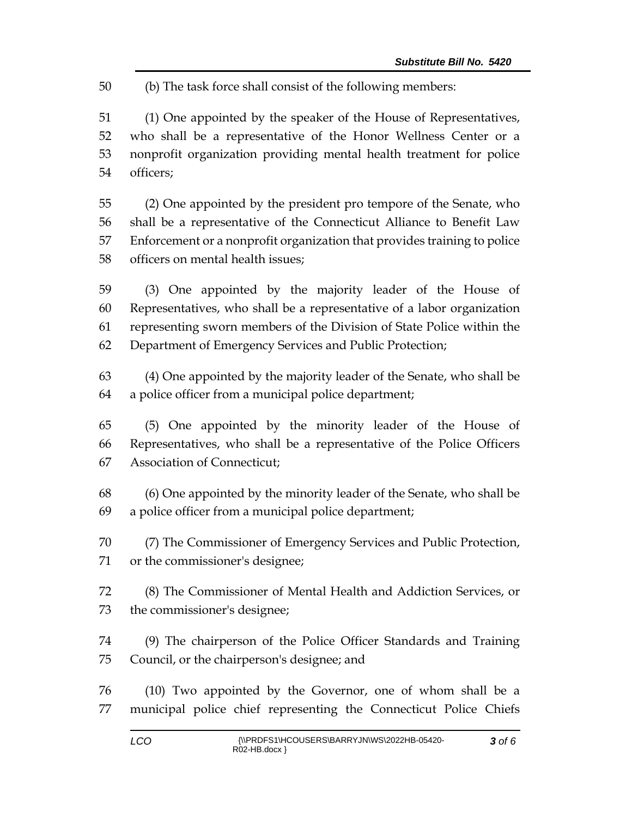(b) The task force shall consist of the following members:

 (1) One appointed by the speaker of the House of Representatives, who shall be a representative of the Honor Wellness Center or a nonprofit organization providing mental health treatment for police officers;

 (2) One appointed by the president pro tempore of the Senate, who shall be a representative of the Connecticut Alliance to Benefit Law Enforcement or a nonprofit organization that provides training to police officers on mental health issues;

 (3) One appointed by the majority leader of the House of Representatives, who shall be a representative of a labor organization representing sworn members of the Division of State Police within the Department of Emergency Services and Public Protection;

 (4) One appointed by the majority leader of the Senate, who shall be a police officer from a municipal police department;

 (5) One appointed by the minority leader of the House of Representatives, who shall be a representative of the Police Officers Association of Connecticut;

 (6) One appointed by the minority leader of the Senate, who shall be a police officer from a municipal police department;

 (7) The Commissioner of Emergency Services and Public Protection, or the commissioner's designee;

 (8) The Commissioner of Mental Health and Addiction Services, or the commissioner's designee;

 (9) The chairperson of the Police Officer Standards and Training Council, or the chairperson's designee; and

 (10) Two appointed by the Governor, one of whom shall be a municipal police chief representing the Connecticut Police Chiefs

*of 6*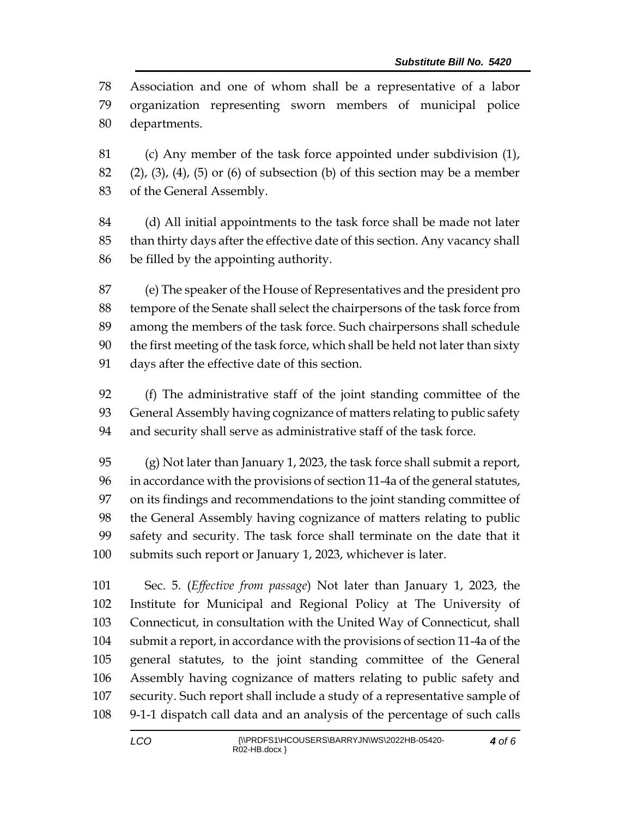Association and one of whom shall be a representative of a labor organization representing sworn members of municipal police departments.

 (c) Any member of the task force appointed under subdivision (1), 82 (2), (3), (4), (5) or (6) of subsection (b) of this section may be a member of the General Assembly.

 (d) All initial appointments to the task force shall be made not later than thirty days after the effective date of this section. Any vacancy shall be filled by the appointing authority.

 (e) The speaker of the House of Representatives and the president pro tempore of the Senate shall select the chairpersons of the task force from among the members of the task force. Such chairpersons shall schedule the first meeting of the task force, which shall be held not later than sixty days after the effective date of this section.

 (f) The administrative staff of the joint standing committee of the General Assembly having cognizance of matters relating to public safety and security shall serve as administrative staff of the task force.

 (g) Not later than January 1, 2023, the task force shall submit a report, in accordance with the provisions of section 11-4a of the general statutes, on its findings and recommendations to the joint standing committee of the General Assembly having cognizance of matters relating to public safety and security. The task force shall terminate on the date that it submits such report or January 1, 2023, whichever is later.

 Sec. 5. (*Effective from passage*) Not later than January 1, 2023, the Institute for Municipal and Regional Policy at The University of Connecticut, in consultation with the United Way of Connecticut, shall submit a report, in accordance with the provisions of section 11-4a of the general statutes, to the joint standing committee of the General Assembly having cognizance of matters relating to public safety and security. Such report shall include a study of a representative sample of 9-1-1 dispatch call data and an analysis of the percentage of such calls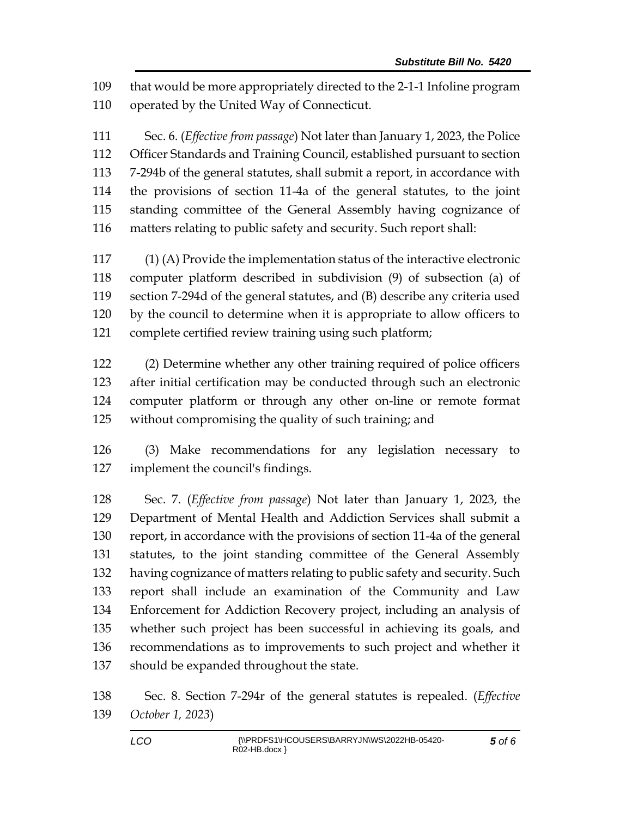that would be more appropriately directed to the 2-1-1 Infoline program operated by the United Way of Connecticut.

 Sec. 6. (*Effective from passage*) Not later than January 1, 2023, the Police Officer Standards and Training Council, established pursuant to section 7-294b of the general statutes, shall submit a report, in accordance with the provisions of section 11-4a of the general statutes, to the joint standing committee of the General Assembly having cognizance of matters relating to public safety and security. Such report shall:

 (1) (A) Provide the implementation status of the interactive electronic computer platform described in subdivision (9) of subsection (a) of section 7-294d of the general statutes, and (B) describe any criteria used by the council to determine when it is appropriate to allow officers to complete certified review training using such platform;

 (2) Determine whether any other training required of police officers after initial certification may be conducted through such an electronic computer platform or through any other on-line or remote format without compromising the quality of such training; and

 (3) Make recommendations for any legislation necessary to implement the council's findings.

 Sec. 7. (*Effective from passage*) Not later than January 1, 2023, the Department of Mental Health and Addiction Services shall submit a report, in accordance with the provisions of section 11-4a of the general statutes, to the joint standing committee of the General Assembly having cognizance of matters relating to public safety and security. Such report shall include an examination of the Community and Law Enforcement for Addiction Recovery project, including an analysis of whether such project has been successful in achieving its goals, and recommendations as to improvements to such project and whether it should be expanded throughout the state.

 Sec. 8. Section 7-294r of the general statutes is repealed. (*Effective October 1, 2023*)